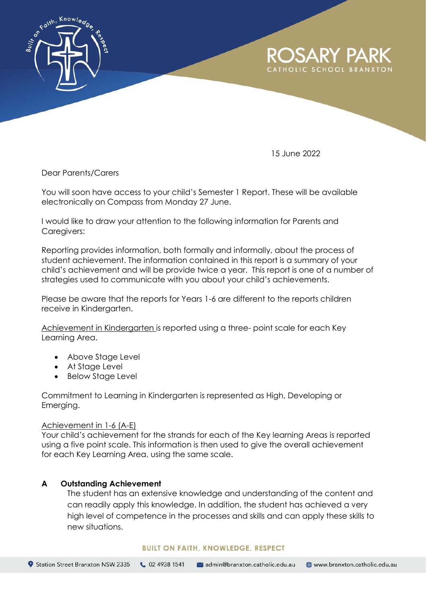

15 June 2022

Dear Parents/Carers

You will soon have access to your child's Semester 1 Report. These will be available electronically on Compass from Monday 27 June.

I would like to draw your attention to the following information for Parents and Caregivers:

Reporting provides information, both formally and informally, about the process of student achievement. The information contained in this report is a summary of your child's achievement and will be provide twice a year. This report is one of a number of strategies used to communicate with you about your child's achievements.

Please be aware that the reports for Years 1-6 are different to the reports children receive in Kindergarten.

Achievement in Kindergarten is reported using a three- point scale for each Key Learning Area.

- Above Stage Level
- At Stage Level
- Below Stage Level

Commitment to Learning in Kindergarten is represented as High, Developing or Emerging.

### Achievement in 1-6 (A-E)

Your child's achievement for the strands for each of the Key learning Areas is reported using a five point scale. This information is then used to give the overall achievement for each Key Learning Area, using the same scale.

# **A Outstanding Achievement**

The student has an extensive knowledge and understanding of the content and can readily apply this knowledge. In addition, the student has achieved a very high level of competence in the processes and skills and can apply these skills to new situations.

#### **BUILT ON FAITH, KNOWLEDGE, RESPECT**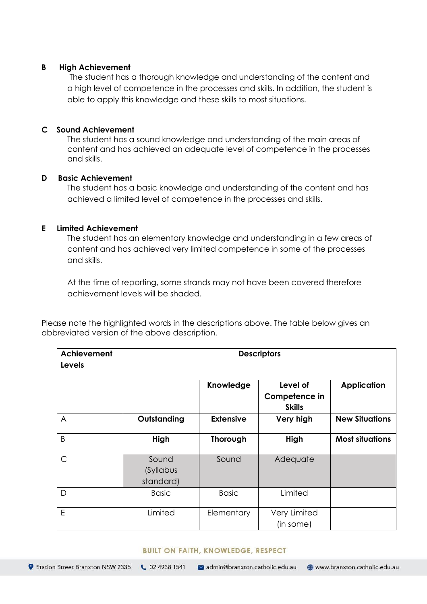### **B High Achievement**

The student has a thorough knowledge and understanding of the content and a high level of competence in the processes and skills. In addition, the student is able to apply this knowledge and these skills to most situations.

### **C Sound Achievement**

The student has a sound knowledge and understanding of the main areas of content and has achieved an adequate level of competence in the processes and skills.

# **D Basic Achievement**

The student has a basic knowledge and understanding of the content and has achieved a limited level of competence in the processes and skills.

# **E Limited Achievement**

The student has an elementary knowledge and understanding in a few areas of content and has achieved very limited competence in some of the processes and skills.

At the time of reporting, some strands may not have been covered therefore achievement levels will be shaded.

Please note the highlighted words in the descriptions above. The table below gives an abbreviated version of the above description.

| Achievement<br><b>Levels</b> | <b>Descriptors</b>              |                  |                                            |                        |
|------------------------------|---------------------------------|------------------|--------------------------------------------|------------------------|
|                              |                                 | <b>Knowledge</b> | Level of<br>Competence in<br><b>Skills</b> | <b>Application</b>     |
| A                            | Outstanding                     | <b>Extensive</b> | Very high                                  | <b>New Situations</b>  |
| B                            | High                            | Thorough         | High                                       | <b>Most situations</b> |
| $\mathsf{C}$                 | Sound<br>(Syllabus<br>standard) | Sound            | Adequate                                   |                        |
| D                            | <b>Basic</b>                    | <b>Basic</b>     | Limited                                    |                        |
| E                            | Limited                         | Elementary       | Very Limited<br>(in some)                  |                        |

#### **BUILT ON FAITH, KNOWLEDGE, RESPECT**